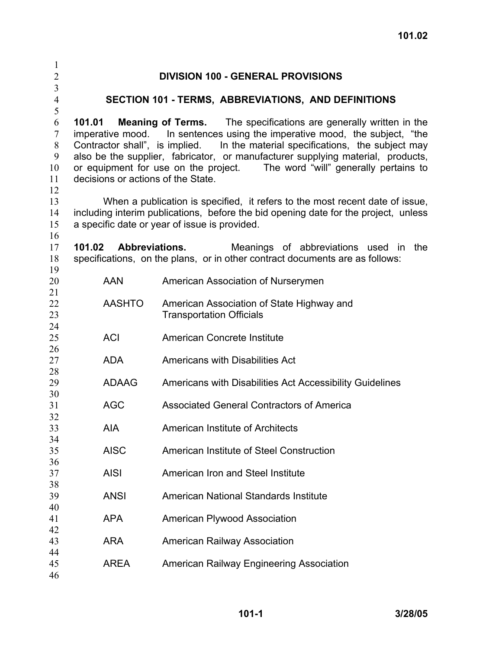| 1                                |                                                                                                                                                                                                                      |                                                                                                                                                              |  |
|----------------------------------|----------------------------------------------------------------------------------------------------------------------------------------------------------------------------------------------------------------------|--------------------------------------------------------------------------------------------------------------------------------------------------------------|--|
| $\overline{c}$                   |                                                                                                                                                                                                                      | <b>DIVISION 100 - GENERAL PROVISIONS</b>                                                                                                                     |  |
| $\overline{3}$<br>$\overline{4}$ |                                                                                                                                                                                                                      | SECTION 101 - TERMS, ABBREVIATIONS, AND DEFINITIONS                                                                                                          |  |
| 5                                |                                                                                                                                                                                                                      |                                                                                                                                                              |  |
| 6                                | 101.01                                                                                                                                                                                                               | <b>Meaning of Terms.</b> The specifications are generally written in the                                                                                     |  |
| $\boldsymbol{7}$<br>$\,8$        |                                                                                                                                                                                                                      | imperative mood. In sentences using the imperative mood, the subject, "the<br>Contractor shall", is implied. In the material specifications, the subject may |  |
| 9                                |                                                                                                                                                                                                                      | also be the supplier, fabricator, or manufacturer supplying material, products,                                                                              |  |
| 10                               | or equipment for use on the project. The word "will" generally pertains to                                                                                                                                           |                                                                                                                                                              |  |
| 11                               | decisions or actions of the State.                                                                                                                                                                                   |                                                                                                                                                              |  |
| 12                               |                                                                                                                                                                                                                      |                                                                                                                                                              |  |
| 13                               | When a publication is specified, it refers to the most recent date of issue,<br>including interim publications, before the bid opening date for the project, unless<br>a specific date or year of issue is provided. |                                                                                                                                                              |  |
| 14                               |                                                                                                                                                                                                                      |                                                                                                                                                              |  |
| 15                               |                                                                                                                                                                                                                      |                                                                                                                                                              |  |
| 16                               |                                                                                                                                                                                                                      |                                                                                                                                                              |  |
| 17                               | 101.02                                                                                                                                                                                                               | <b>Abbreviations.</b><br>Meanings of abbreviations used in<br>the                                                                                            |  |
| 18                               |                                                                                                                                                                                                                      | specifications, on the plans, or in other contract documents are as follows:                                                                                 |  |
| 19                               |                                                                                                                                                                                                                      |                                                                                                                                                              |  |
| 20                               | <b>AAN</b>                                                                                                                                                                                                           | American Association of Nurserymen                                                                                                                           |  |
| 21                               |                                                                                                                                                                                                                      |                                                                                                                                                              |  |
| 22                               | <b>AASHTO</b>                                                                                                                                                                                                        | American Association of State Highway and                                                                                                                    |  |
| 23<br>24                         |                                                                                                                                                                                                                      | <b>Transportation Officials</b>                                                                                                                              |  |
| 25                               | <b>ACI</b>                                                                                                                                                                                                           | American Concrete Institute                                                                                                                                  |  |
| 26                               |                                                                                                                                                                                                                      |                                                                                                                                                              |  |
| 27                               | <b>ADA</b>                                                                                                                                                                                                           | <b>Americans with Disabilities Act</b>                                                                                                                       |  |
| 28                               |                                                                                                                                                                                                                      |                                                                                                                                                              |  |
| 29                               | <b>ADAAG</b>                                                                                                                                                                                                         | Americans with Disabilities Act Accessibility Guidelines                                                                                                     |  |
| 30                               |                                                                                                                                                                                                                      |                                                                                                                                                              |  |
| 31                               | <b>AGC</b>                                                                                                                                                                                                           | <b>Associated General Contractors of America</b>                                                                                                             |  |
| 32                               |                                                                                                                                                                                                                      |                                                                                                                                                              |  |
| 33                               | AIA                                                                                                                                                                                                                  | American Institute of Architects                                                                                                                             |  |
| 34                               |                                                                                                                                                                                                                      |                                                                                                                                                              |  |
| 35                               | <b>AISC</b>                                                                                                                                                                                                          | American Institute of Steel Construction                                                                                                                     |  |
| 36                               |                                                                                                                                                                                                                      |                                                                                                                                                              |  |
| 37                               | <b>AISI</b>                                                                                                                                                                                                          | American Iron and Steel Institute                                                                                                                            |  |
| 38                               |                                                                                                                                                                                                                      |                                                                                                                                                              |  |
| 39<br>40                         | <b>ANSI</b>                                                                                                                                                                                                          | American National Standards Institute                                                                                                                        |  |
| 41                               | <b>APA</b>                                                                                                                                                                                                           | <b>American Plywood Association</b>                                                                                                                          |  |
| 42                               |                                                                                                                                                                                                                      |                                                                                                                                                              |  |
| 43                               | <b>ARA</b>                                                                                                                                                                                                           | <b>American Railway Association</b>                                                                                                                          |  |
| 44                               |                                                                                                                                                                                                                      |                                                                                                                                                              |  |
| 45                               | <b>AREA</b>                                                                                                                                                                                                          | American Railway Engineering Association                                                                                                                     |  |
| 46                               |                                                                                                                                                                                                                      |                                                                                                                                                              |  |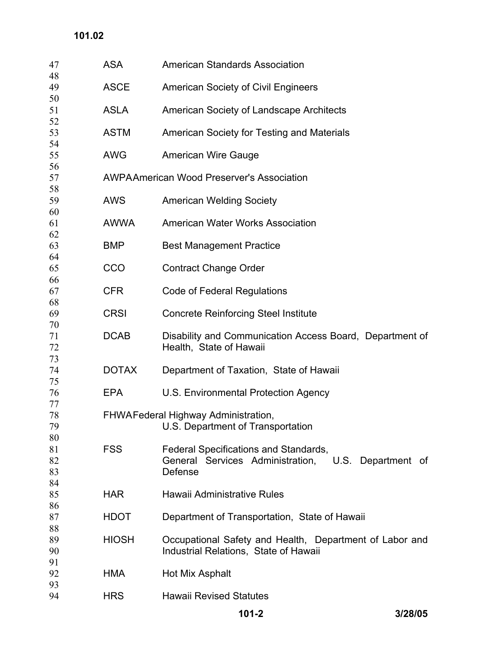## **101.02**

| 47 | <b>ASA</b>   | <b>American Standards Association</b>                    |
|----|--------------|----------------------------------------------------------|
| 48 |              |                                                          |
| 49 | <b>ASCE</b>  | <b>American Society of Civil Engineers</b>               |
| 50 |              |                                                          |
| 51 | <b>ASLA</b>  | American Society of Landscape Architects                 |
| 52 |              |                                                          |
| 53 | <b>ASTM</b>  | American Society for Testing and Materials               |
| 54 |              |                                                          |
| 55 | <b>AWG</b>   | <b>American Wire Gauge</b>                               |
| 56 |              |                                                          |
| 57 |              | <b>AWPAAmerican Wood Preserver's Association</b>         |
| 58 |              |                                                          |
| 59 | <b>AWS</b>   | <b>American Welding Society</b>                          |
| 60 |              |                                                          |
| 61 | <b>AWWA</b>  | <b>American Water Works Association</b>                  |
| 62 |              |                                                          |
| 63 | <b>BMP</b>   | <b>Best Management Practice</b>                          |
| 64 |              |                                                          |
| 65 | CCO          | <b>Contract Change Order</b>                             |
| 66 |              |                                                          |
| 67 | <b>CFR</b>   | <b>Code of Federal Regulations</b>                       |
| 68 |              |                                                          |
| 69 | <b>CRSI</b>  | <b>Concrete Reinforcing Steel Institute</b>              |
| 70 |              |                                                          |
| 71 | <b>DCAB</b>  | Disability and Communication Access Board, Department of |
| 72 |              | Health, State of Hawaii                                  |
| 73 |              |                                                          |
| 74 | <b>DOTAX</b> | Department of Taxation, State of Hawaii                  |
| 75 |              |                                                          |
| 76 | <b>EPA</b>   | U.S. Environmental Protection Agency                     |
| 77 |              |                                                          |
| 78 |              | FHWAFederal Highway Administration,                      |
| 79 |              | U.S. Department of Transportation                        |
| 80 |              |                                                          |
| 81 | <b>FSS</b>   | Federal Specifications and Standards,                    |
| 82 |              | General Services Administration, U.S.<br>Department of   |
| 83 |              | Defense                                                  |
| 84 |              |                                                          |
| 85 | <b>HAR</b>   | Hawaii Administrative Rules                              |
| 86 |              |                                                          |
| 87 | <b>HDOT</b>  | Department of Transportation, State of Hawaii            |
| 88 |              |                                                          |
| 89 | <b>HIOSH</b> | Occupational Safety and Health, Department of Labor and  |
| 90 |              | Industrial Relations, State of Hawaii                    |
| 91 |              |                                                          |
| 92 | <b>HMA</b>   | Hot Mix Asphalt                                          |
| 93 |              |                                                          |
| 94 | <b>HRS</b>   | <b>Hawaii Revised Statutes</b>                           |
|    |              |                                                          |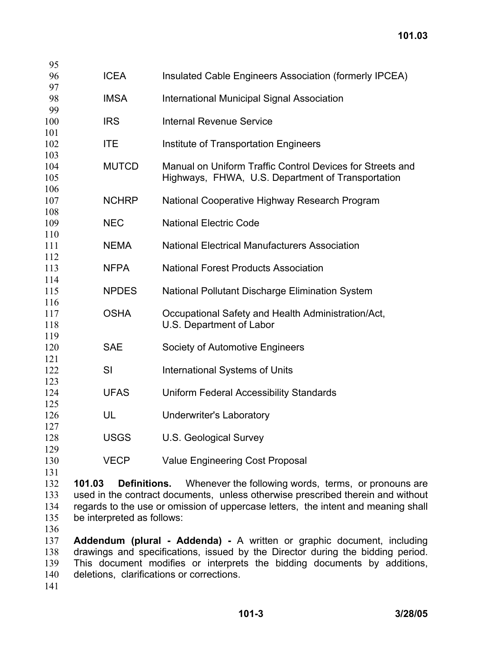| <b>ICEA</b> | Insulated Cable Engineers Association (formerly IPCEA)                                                                                                                                       |
|-------------|----------------------------------------------------------------------------------------------------------------------------------------------------------------------------------------------|
| <b>IMSA</b> | <b>International Municipal Signal Association</b>                                                                                                                                            |
|             |                                                                                                                                                                                              |
| <b>IRS</b>  | <b>Internal Revenue Service</b>                                                                                                                                                              |
|             |                                                                                                                                                                                              |
|             | Institute of Transportation Engineers                                                                                                                                                        |
|             |                                                                                                                                                                                              |
|             | Manual on Uniform Traffic Control Devices for Streets and                                                                                                                                    |
|             | Highways, FHWA, U.S. Department of Transportation                                                                                                                                            |
|             |                                                                                                                                                                                              |
|             | National Cooperative Highway Research Program                                                                                                                                                |
|             |                                                                                                                                                                                              |
|             | <b>National Electric Code</b>                                                                                                                                                                |
|             |                                                                                                                                                                                              |
|             | <b>National Electrical Manufacturers Association</b>                                                                                                                                         |
|             |                                                                                                                                                                                              |
|             | <b>National Forest Products Association</b>                                                                                                                                                  |
|             |                                                                                                                                                                                              |
|             | National Pollutant Discharge Elimination System                                                                                                                                              |
|             |                                                                                                                                                                                              |
|             | Occupational Safety and Health Administration/Act,                                                                                                                                           |
|             | U.S. Department of Labor                                                                                                                                                                     |
|             |                                                                                                                                                                                              |
|             | Society of Automotive Engineers                                                                                                                                                              |
|             |                                                                                                                                                                                              |
|             | <b>International Systems of Units</b>                                                                                                                                                        |
|             |                                                                                                                                                                                              |
|             | <b>Uniform Federal Accessibility Standards</b>                                                                                                                                               |
|             |                                                                                                                                                                                              |
|             | <b>Underwriter's Laboratory</b>                                                                                                                                                              |
|             |                                                                                                                                                                                              |
|             | <b>U.S. Geological Survey</b>                                                                                                                                                                |
|             |                                                                                                                                                                                              |
|             | <b>Value Engineering Cost Proposal</b>                                                                                                                                                       |
|             | <b>ITE</b><br><b>MUTCD</b><br><b>NCHRP</b><br><b>NEC</b><br><b>NEMA</b><br><b>NFPA</b><br><b>NPDES</b><br><b>OSHA</b><br><b>SAE</b><br>SI<br><b>UFAS</b><br>UL<br><b>USGS</b><br><b>VECP</b> |

 **101.03 Definitions.** Whenever the following words, terms, or pronouns are used in the contract documents, unless otherwise prescribed therein and without regards to the use or omission of uppercase letters, the intent and meaning shall be interpreted as follows:

 **Addendum (plural - Addenda) -** A written or graphic document, including drawings and specifications, issued by the Director during the bidding period. This document modifies or interprets the bidding documents by additions, deletions, clarifications or corrections.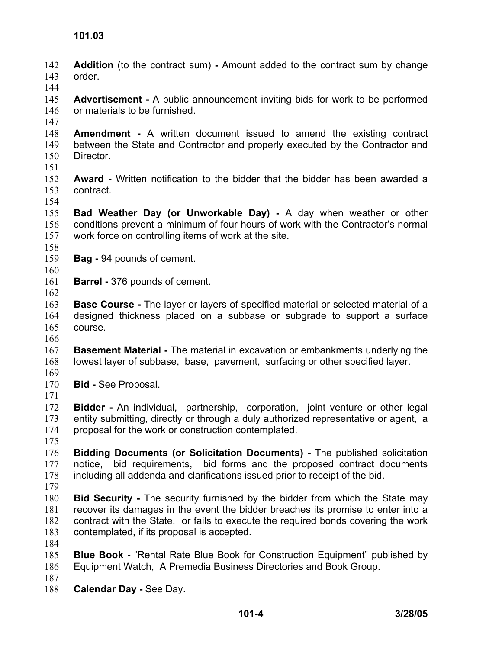**Addition** (to the contract sum) **-** Amount added to the contract sum by change order. 142 143

144

145 146 **Advertisement -** A public announcement inviting bids for work to be performed or materials to be furnished.

147

148 149 150 **Amendment -** A written document issued to amend the existing contract between the State and Contractor and properly executed by the Contractor and Director.

151

152 153 **Award -** Written notification to the bidder that the bidder has been awarded a contract.

154

155 156 157 **Bad Weather Day (or Unworkable Day) -** A day when weather or other conditions prevent a minimum of four hours of work with the Contractor's normal work force on controlling items of work at the site.

- 158
- 159 **Bag -** 94 pounds of cement.
- 160
- 161 162 **Barrel -** 376 pounds of cement.

163 164 165 **Base Course -** The layer or layers of specified material or selected material of a designed thickness placed on a subbase or subgrade to support a surface course.

166

167 168 169 **Basement Material -** The material in excavation or embankments underlying the lowest layer of subbase, base, pavement, surfacing or other specified layer.

- 170 **Bid -** See Proposal.
- 171

172 173 174 **Bidder -** An individual, partnership, corporation, joint venture or other legal entity submitting, directly or through a duly authorized representative or agent, a proposal for the work or construction contemplated.

175

176 177 178 **Bidding Documents (or Solicitation Documents) -** The published solicitation notice, bid requirements, bid forms and the proposed contract documents including all addenda and clarifications issued prior to receipt of the bid.

179

180 181 182 183 **Bid Security -** The security furnished by the bidder from which the State may recover its damages in the event the bidder breaches its promise to enter into a contract with the State, or fails to execute the required bonds covering the work contemplated, if its proposal is accepted.

184

185 186 **Blue Book -** "Rental Rate Blue Book for Construction Equipment" published by Equipment Watch, A Premedia Business Directories and Book Group.

187

188 **Calendar Day -** See Day.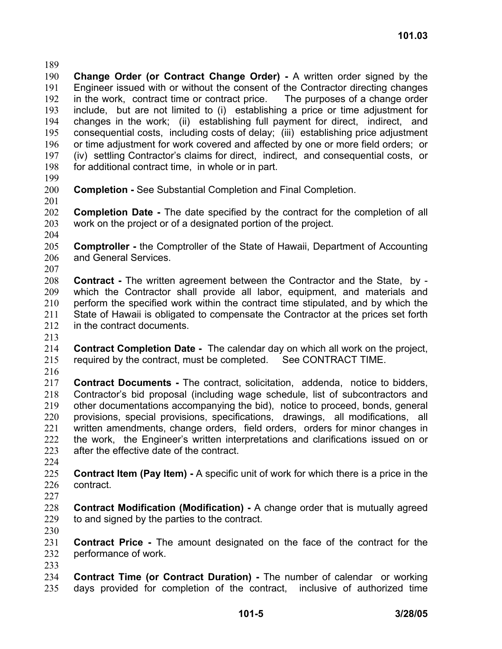189

190 191 192 193 194 195 196 197 198 **Change Order (or Contract Change Order) -** A written order signed by the Engineer issued with or without the consent of the Contractor directing changes in the work, contract time or contract price. The purposes of a change order include, but are not limited to (i) establishing a price or time adjustment for changes in the work; (ii) establishing full payment for direct, indirect, and consequential costs, including costs of delay; (iii) establishing price adjustment or time adjustment for work covered and affected by one or more field orders; or (iv) settling Contractor's claims for direct, indirect, and consequential costs, or for additional contract time, in whole or in part.

- 199
- 200 201 **Completion -** See Substantial Completion and Final Completion.
- 202 203 **Completion Date -** The date specified by the contract for the completion of all work on the project or of a designated portion of the project.
- 204

205 206 **Comptroller -** the Comptroller of the State of Hawaii, Department of Accounting and General Services.

207

208 209 210 211 212 **Contract -** The written agreement between the Contractor and the State, by which the Contractor shall provide all labor, equipment, and materials and perform the specified work within the contract time stipulated, and by which the State of Hawaii is obligated to compensate the Contractor at the prices set forth in the contract documents.

213

214 215 **Contract Completion Date -** The calendar day on which all work on the project, required by the contract, must be completed. See CONTRACT TIME.

216

217 218 219 220 221 222 223 **Contract Documents -** The contract, solicitation, addenda, notice to bidders, Contractor's bid proposal (including wage schedule, list of subcontractors and other documentations accompanying the bid), notice to proceed, bonds, general provisions, special provisions, specifications, drawings, all modifications, all written amendments, change orders, field orders, orders for minor changes in the work, the Engineer's written interpretations and clarifications issued on or after the effective date of the contract.

224

225 226 **Contract Item (Pay Item) -** A specific unit of work for which there is a price in the contract.

227

228 229 **Contract Modification (Modification) -** A change order that is mutually agreed to and signed by the parties to the contract.

230

231 232 233 **Contract Price -** The amount designated on the face of the contract for the performance of work.

234 235 **Contract Time (or Contract Duration) -** The number of calendar or working days provided for completion of the contract, inclusive of authorized time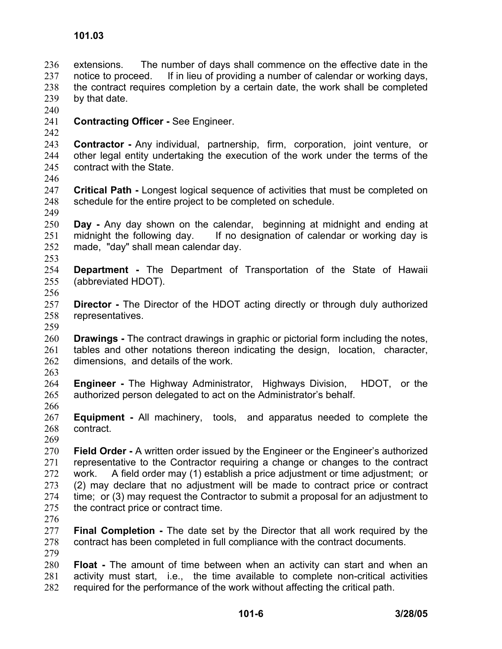extensions. The number of days shall commence on the effective date in the notice to proceed. If in lieu of providing a number of calendar or working days, the contract requires completion by a certain date, the work shall be completed by that date. 236 237 238 239

- 240
- 241 **Contracting Officer -** See Engineer.

242 243 244 245 **Contractor -** Any individual, partnership, firm, corporation, joint venture, or other legal entity undertaking the execution of the work under the terms of the contract with the State.

246

249

- 247 248 **Critical Path -** Longest logical sequence of activities that must be completed on schedule for the entire project to be completed on schedule.
- 250 251 252 **Day -** Any day shown on the calendar, beginning at midnight and ending at midnight the following day. If no designation of calendar or working day is made, "day" shall mean calendar day.
- 253
- 254 255 **Department -** The Department of Transportation of the State of Hawaii (abbreviated HDOT).
- 256
- 257 258 **Director** - The Director of the HDOT acting directly or through duly authorized representatives.
- 259

260 261 262 **Drawings -** The contract drawings in graphic or pictorial form including the notes, tables and other notations thereon indicating the design, location, character, dimensions, and details of the work.

263

269

- 264 265 266 **Engineer -** The Highway Administrator, Highways Division, HDOT, or the authorized person delegated to act on the Administrator's behalf.
- 267 268 **Equipment -** All machinery, tools, and apparatus needed to complete the contract.
- 270 271 272 273 274 275 **Field Order -** A written order issued by the Engineer or the Engineer's authorized representative to the Contractor requiring a change or changes to the contract work. A field order may (1) establish a price adjustment or time adjustment; or (2) may declare that no adjustment will be made to contract price or contract time; or (3) may request the Contractor to submit a proposal for an adjustment to the contract price or contract time.
- 276

277 278 279 **Final Completion -** The date set by the Director that all work required by the contract has been completed in full compliance with the contract documents.

280 281 282 **Float -** The amount of time between when an activity can start and when an activity must start, i.e., the time available to complete non-critical activities required for the performance of the work without affecting the critical path.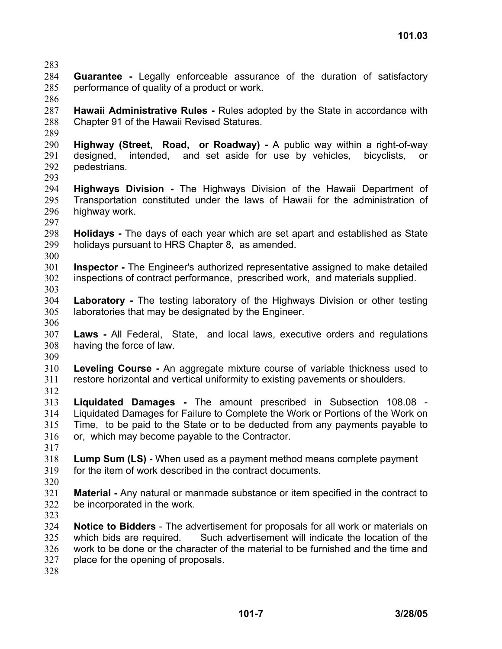283

- 284 285 **Guarantee -** Legally enforceable assurance of the duration of satisfactory performance of quality of a product or work.
- 286

287 288 **Hawaii Administrative Rules -** Rules adopted by the State in accordance with Chapter 91 of the Hawaii Revised Statures.

289

290 291 292 **Highway (Street, Road, or Roadway) -** A public way within a right-of-way designed, intended, and set aside for use by vehicles, bicyclists, or pedestrians.

- 293
- 294 295 296 297 **Highways Division -** The Highways Division of the Hawaii Department of Transportation constituted under the laws of Hawaii for the administration of highway work.
- 298 299 **Holidays -** The days of each year which are set apart and established as State holidays pursuant to HRS Chapter 8, as amended.
- 300
- 301 302 303 **Inspector -** The Engineer's authorized representative assigned to make detailed inspections of contract performance, prescribed work, and materials supplied.
- 304 305 **Laboratory -** The testing laboratory of the Highways Division or other testing laboratories that may be designated by the Engineer.
- 306
- 307 308 **Laws -** All Federal, State, and local laws, executive orders and regulations having the force of law.
- 309
- 310 311 **Leveling Course -** An aggregate mixture course of variable thickness used to restore horizontal and vertical uniformity to existing pavements or shoulders.
- 312

313 314 315 316 **Liquidated Damages -** The amount prescribed in Subsection 108.08 - Liquidated Damages for Failure to Complete the Work or Portions of the Work on Time, to be paid to the State or to be deducted from any payments payable to or, which may become payable to the Contractor.

- 317
- 318 319 **Lump Sum (LS) -** When used as a payment method means complete payment for the item of work described in the contract documents.
- 320

321 322 **Material -** Any natural or manmade substance or item specified in the contract to be incorporated in the work.

323

324 325 326 327 **Notice to Bidders** - The advertisement for proposals for all work or materials on which bids are required. Such advertisement will indicate the location of the work to be done or the character of the material to be furnished and the time and place for the opening of proposals.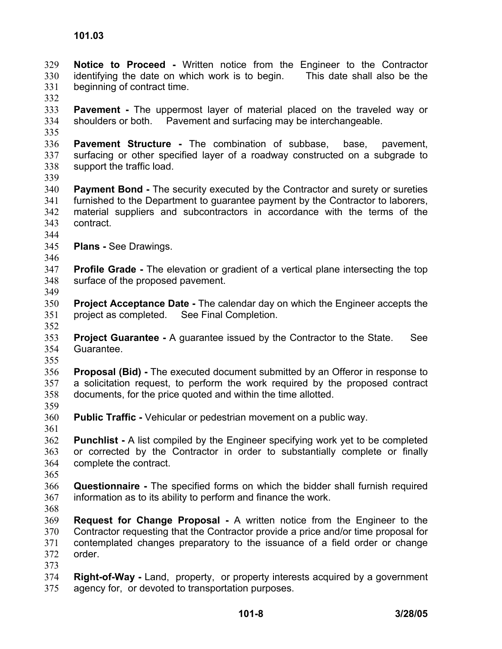**Notice to Proceed -** Written notice from the Engineer to the Contractor identifying the date on which work is to begin. This date shall also be the beginning of contract time. 329 330 331

332

333 334 **Pavement -** The uppermost layer of material placed on the traveled way or shoulders or both. Pavement and surfacing may be interchangeable.

335

336 337 338 **Pavement Structure -** The combination of subbase, base, pavement, surfacing or other specified layer of a roadway constructed on a subgrade to support the traffic load.

339

340 341 342 343 **Payment Bond -** The security executed by the Contractor and surety or sureties furnished to the Department to guarantee payment by the Contractor to laborers, material suppliers and subcontractors in accordance with the terms of the contract.

- 344
- 345 **Plans -** See Drawings.

346

349

- 347 348 **Profile Grade -** The elevation or gradient of a vertical plane intersecting the top surface of the proposed pavement.
- 350 351 **Project Acceptance Date -** The calendar day on which the Engineer accepts the project as completed. See Final Completion.
- 353 354 355 **Project Guarantee -** A guarantee issued by the Contractor to the State. See Guarantee.
- 356 357 358 **Proposal (Bid) -** The executed document submitted by an Offeror in response to a solicitation request, to perform the work required by the proposed contract documents, for the price quoted and within the time allotted.
- 359
- 360 **Public Traffic -** Vehicular or pedestrian movement on a public way.
- 361 362 363 364 **Punchlist -** A list compiled by the Engineer specifying work yet to be completed or corrected by the Contractor in order to substantially complete or finally complete the contract.
- 365
- 366 367 **Questionnaire -** The specified forms on which the bidder shall furnish required information as to its ability to perform and finance the work.
- 368
- 369 370 371 372 373 **Request for Change Proposal -** A written notice from the Engineer to the Contractor requesting that the Contractor provide a price and/or time proposal for contemplated changes preparatory to the issuance of a field order or change order.
- 374 375 **Right-of-Way -** Land, property, or property interests acquired by a government agency for, or devoted to transportation purposes.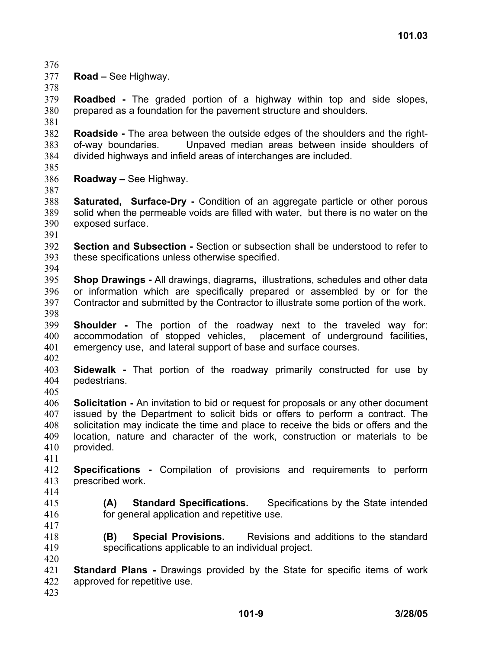- 376
- 377 378 **Road –** See Highway.

379 380 **Roadbed -** The graded portion of a highway within top and side slopes, prepared as a foundation for the pavement structure and shoulders.

381 382 383 384 **Roadside -** The area between the outside edges of the shoulders and the rightof-way boundaries. Unpaved median areas between inside shoulders of divided highways and infield areas of interchanges are included.

- 385
- 386 **Roadway –** See Highway.

387

388 389 390 **Saturated, Surface-Dry -** Condition of an aggregate particle or other porous solid when the permeable voids are filled with water, but there is no water on the exposed surface.

391

392 393 394 **Section and Subsection -** Section or subsection shall be understood to refer to these specifications unless otherwise specified.

395 396 397 398 **Shop Drawings -** All drawings, diagrams**,** illustrations, schedules and other data or information which are specifically prepared or assembled by or for the Contractor and submitted by the Contractor to illustrate some portion of the work.

399 400 401 **Shoulder -** The portion of the roadway next to the traveled way for: accommodation of stopped vehicles, placement of underground facilities, emergency use, and lateral support of base and surface courses.

402

403 404 **Sidewalk -** That portion of the roadway primarily constructed for use by pedestrians.

405 406 407 408 409 **Solicitation -** An invitation to bid or request for proposals or any other document issued by the Department to solicit bids or offers to perform a contract. The solicitation may indicate the time and place to receive the bids or offers and the location, nature and character of the work, construction or materials to be

410 411 provided.

- 412 413 **Specifications -** Compilation of provisions and requirements to perform prescribed work.
- 414
- 415 416

417

**(A) Standard Specifications.** Specifications by the State intended for general application and repetitive use.

- 418 419 **(B) Special Provisions.** Revisions and additions to the standard specifications applicable to an individual project.
- 420
- 421 422 **Standard Plans -** Drawings provided by the State for specific items of work approved for repetitive use.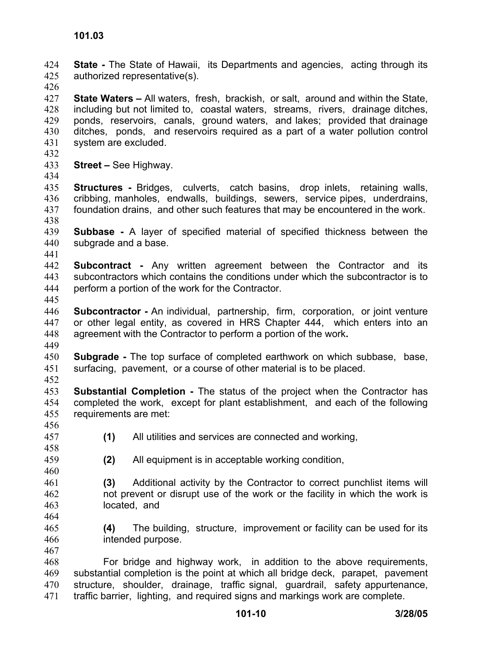**State -** The State of Hawaii, its Departments and agencies, acting through its authorized representative(s). 424 425

426

427 428 429 430 431 **State Waters –** All waters, fresh, brackish, or salt, around and within the State, including but not limited to, coastal waters, streams, rivers, drainage ditches, ponds, reservoirs, canals, ground waters, and lakes; provided that drainage ditches, ponds, and reservoirs required as a part of a water pollution control system are excluded.

432

433 **Street –** See Highway.

434

435 436 437 438 **Structures** - Bridges, culverts, catch basins, drop inlets, retaining walls, cribbing, manholes, endwalls, buildings, sewers, service pipes, underdrains, foundation drains, and other such features that may be encountered in the work.

- 439 440 **Subbase -** A layer of specified material of specified thickness between the subgrade and a base.
- 442 443 444 **Subcontract -** Any written agreement between the Contractor and its subcontractors which contains the conditions under which the subcontractor is to perform a portion of the work for the Contractor.
- 445

441

- 446 447 448 **Subcontractor** - An individual, partnership, firm, corporation, or joint venture or other legal entity, as covered in HRS Chapter 444, which enters into an agreement with the Contractor to perform a portion of the work**.**
- 449
- 450 451 **Subgrade -** The top surface of completed earthwork on which subbase, base, surfacing, pavement, or a course of other material is to be placed.
- 452
- 453 454 455 **Substantial Completion -** The status of the project when the Contractor has completed the work, except for plant establishment, and each of the following requirements are met:
- 456 457
- **(1)** All utilities and services are connected and working,
- 458 459 460

464

- **(2)** All equipment is in acceptable working condition,
- 461 462 463 **(3)** Additional activity by the Contractor to correct punchlist items will not prevent or disrupt use of the work or the facility in which the work is located, and
- 465 466 **(4)** The building, structure, improvement or facility can be used for its intended purpose.
- 468 469 470 471 For bridge and highway work, in addition to the above requirements, substantial completion is the point at which all bridge deck, parapet, pavement structure, shoulder, drainage, traffic signal, guardrail, safety appurtenance, traffic barrier, lighting, and required signs and markings work are complete.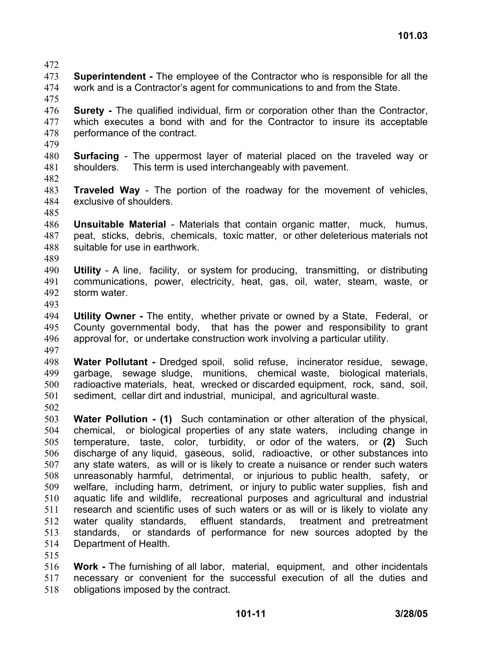- 472
- 473 474 **Superintendent -** The employee of the Contractor who is responsible for all the work and is a Contractor's agent for communications to and from the State.
- 475

476 477 478 479 **Surety -** The qualified individual, firm or corporation other than the Contractor, which executes a bond with and for the Contractor to insure its acceptable performance of the contract.

- 480 481 **Surfacing** - The uppermost layer of material placed on the traveled way or shoulders. This term is used interchangeably with pavement.
- 482
- 483 484 485 **Traveled Way** - The portion of the roadway for the movement of vehicles, exclusive of shoulders.

486 487 488 **Unsuitable Material** - Materials that contain organic matter, muck, humus, peat, sticks, debris, chemicals, toxic matter, or other deleterious materials not suitable for use in earthwork.

- 489
- 490 491 492 **Utility** - A line, facility, or system for producing, transmitting, or distributing communications, power, electricity, heat, gas, oil, water, steam, waste, or storm water.
- 493

494 495 496 **Utility Owner -** The entity, whether private or owned by a State, Federal, or County governmental body, that has the power and responsibility to grant approval for, or undertake construction work involving a particular utility.

497

498 499 500 501 **Water Pollutant -** Dredged spoil, solid refuse, incinerator residue, sewage, garbage, sewage sludge, munitions, chemical waste, biological materials, radioactive materials, heat, wrecked or discarded equipment, rock, sand, soil, sediment, cellar dirt and industrial, municipal, and agricultural waste.

502

503 504 505 506 507 508 509 510 511 512 513 514 **Water Pollution - (1)** Such contamination or other alteration of the physical, chemical, or biological properties of any state waters, including change in temperature, taste, color, turbidity, or odor of the waters, or **(2)** Such discharge of any liquid, gaseous, solid, radioactive, or other substances into any state waters, as will or is likely to create a nuisance or render such waters unreasonably harmful, detrimental, or injurious to public health, safety, or welfare, including harm, detriment, or injury to public water supplies, fish and aquatic life and wildlife, recreational purposes and agricultural and industrial research and scientific uses of such waters or as will or is likely to violate any water quality standards, effluent standards, treatment and pretreatment standards, or standards of performance for new sources adopted by the Department of Health.

515

516 517 518 **Work -** The furnishing of all labor, material, equipment, and other incidentals necessary or convenient for the successful execution of all the duties and obligations imposed by the contract.